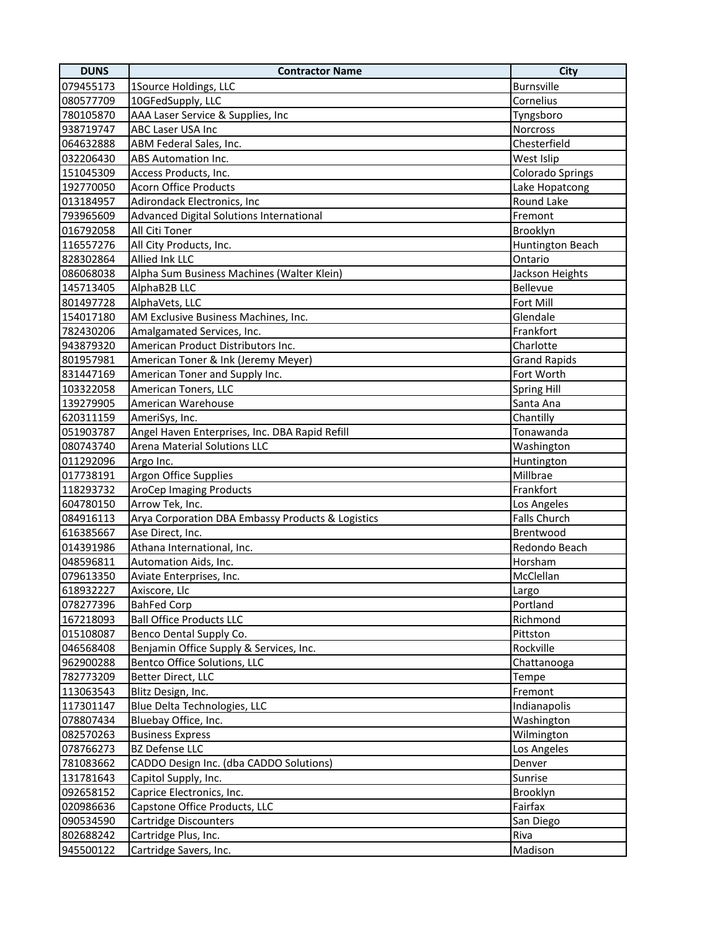| <b>DUNS</b> | <b>Contractor Name</b>                            | City                    |
|-------------|---------------------------------------------------|-------------------------|
| 079455173   | 1Source Holdings, LLC                             | Burnsville              |
| 080577709   | 10GFedSupply, LLC                                 | Cornelius               |
| 780105870   | AAA Laser Service & Supplies, Inc                 | Tyngsboro               |
| 938719747   | ABC Laser USA Inc                                 | Norcross                |
| 064632888   | ABM Federal Sales, Inc.                           | Chesterfield            |
| 032206430   | ABS Automation Inc.                               | West Islip              |
| 151045309   | Access Products, Inc.                             | <b>Colorado Springs</b> |
| 192770050   | <b>Acorn Office Products</b>                      | Lake Hopatcong          |
| 013184957   | Adirondack Electronics, Inc                       | Round Lake              |
| 793965609   | Advanced Digital Solutions International          | Fremont                 |
| 016792058   | All Citi Toner                                    | Brooklyn                |
| 116557276   | All City Products, Inc.                           | Huntington Beach        |
| 828302864   | Allied Ink LLC                                    | Ontario                 |
| 086068038   | Alpha Sum Business Machines (Walter Klein)        | Jackson Heights         |
| 145713405   | AlphaB2B LLC                                      | Bellevue                |
| 801497728   | AlphaVets, LLC                                    | Fort Mill               |
| 154017180   | AM Exclusive Business Machines, Inc.              | Glendale                |
| 782430206   | Amalgamated Services, Inc.                        | Frankfort               |
| 943879320   | American Product Distributors Inc.                | Charlotte               |
| 801957981   | American Toner & Ink (Jeremy Meyer)               | <b>Grand Rapids</b>     |
| 831447169   | American Toner and Supply Inc.                    | Fort Worth              |
| 103322058   | American Toners, LLC                              | <b>Spring Hill</b>      |
| 139279905   | American Warehouse                                | Santa Ana               |
| 620311159   | AmeriSys, Inc.                                    | Chantilly               |
| 051903787   | Angel Haven Enterprises, Inc. DBA Rapid Refill    | Tonawanda               |
| 080743740   | Arena Material Solutions LLC                      | Washington              |
| 011292096   | Argo Inc.                                         | Huntington              |
| 017738191   | Argon Office Supplies                             | Millbrae                |
| 118293732   | <b>AroCep Imaging Products</b>                    | Frankfort               |
| 604780150   | Arrow Tek, Inc.                                   | Los Angeles             |
| 084916113   | Arya Corporation DBA Embassy Products & Logistics | Falls Church            |
| 616385667   | Ase Direct, Inc.                                  | Brentwood               |
| 014391986   | Athana International, Inc.                        | Redondo Beach           |
| 048596811   | Automation Aids, Inc.                             | Horsham                 |
| 079613350   | Aviate Enterprises, Inc.                          | McClellan               |
| 618932227   | Axiscore, Llc                                     | Largo                   |
| 078277396   | <b>BahFed Corp</b>                                | Portland                |
| 167218093   | <b>Ball Office Products LLC</b>                   | Richmond                |
| 015108087   | Benco Dental Supply Co.                           | Pittston                |
| 046568408   | Benjamin Office Supply & Services, Inc.           | Rockville               |
| 962900288   | Bentco Office Solutions, LLC                      | Chattanooga             |
| 782773209   | Better Direct, LLC                                | Tempe                   |
| 113063543   | Blitz Design, Inc.                                | Fremont                 |
| 117301147   | <b>Blue Delta Technologies, LLC</b>               | Indianapolis            |
| 078807434   | Bluebay Office, Inc.                              | Washington              |
| 082570263   | <b>Business Express</b>                           | Wilmington              |
| 078766273   | <b>BZ Defense LLC</b>                             | Los Angeles             |
| 781083662   | CADDO Design Inc. (dba CADDO Solutions)           | Denver                  |
| 131781643   | Capitol Supply, Inc.                              | Sunrise                 |
| 092658152   | Caprice Electronics, Inc.                         | Brooklyn                |
| 020986636   | Capstone Office Products, LLC                     | Fairfax                 |
| 090534590   | Cartridge Discounters                             | San Diego               |
| 802688242   | Cartridge Plus, Inc.                              | Riva                    |
| 945500122   | Cartridge Savers, Inc.                            | Madison                 |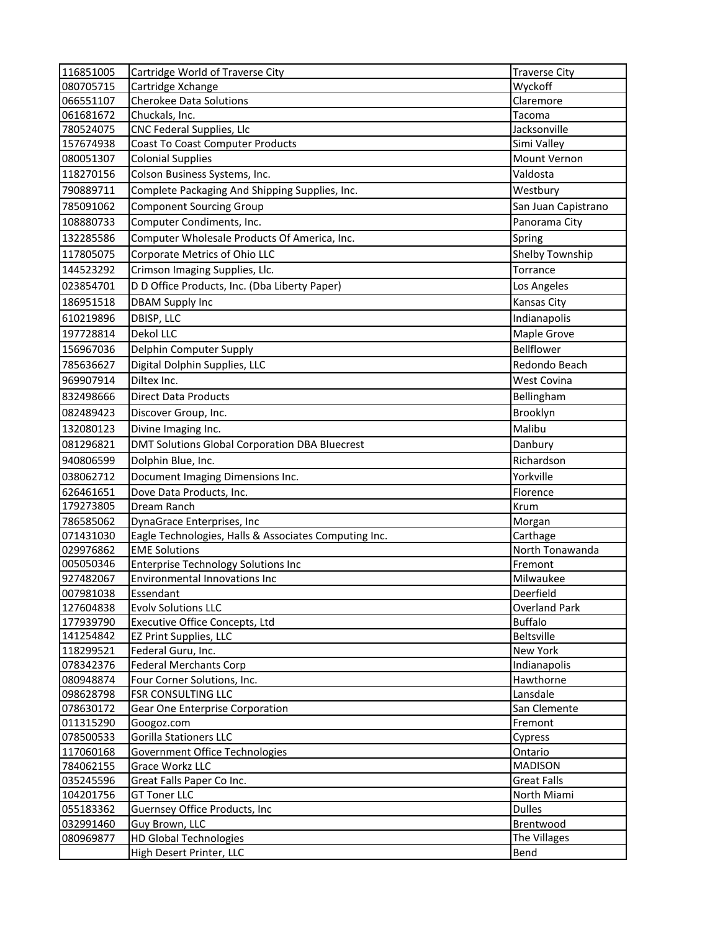| 116851005              | Cartridge World of Traverse City                      | <b>Traverse City</b>      |
|------------------------|-------------------------------------------------------|---------------------------|
| 080705715              | Cartridge Xchange                                     | Wyckoff                   |
| 066551107              | <b>Cherokee Data Solutions</b>                        | Claremore                 |
| 061681672              | Chuckals, Inc.                                        | Tacoma                    |
| 780524075              | CNC Federal Supplies, Llc                             | Jacksonville              |
| 157674938              | Coast To Coast Computer Products                      | Simi Valley               |
| 080051307              | <b>Colonial Supplies</b>                              | Mount Vernon              |
| 118270156              | Colson Business Systems, Inc.                         | Valdosta                  |
| 790889711              | Complete Packaging And Shipping Supplies, Inc.        | Westbury                  |
| 785091062              | <b>Component Sourcing Group</b>                       | San Juan Capistrano       |
| 108880733              | Computer Condiments, Inc.                             | Panorama City             |
| 132285586              | Computer Wholesale Products Of America, Inc.          | Spring                    |
| 117805075              | Corporate Metrics of Ohio LLC                         | Shelby Township           |
| 144523292              | Crimson Imaging Supplies, Llc.                        | Torrance                  |
| 023854701              | D D Office Products, Inc. (Dba Liberty Paper)         | Los Angeles               |
| 186951518              | <b>DBAM Supply Inc</b>                                | Kansas City               |
| 610219896              | DBISP, LLC                                            | Indianapolis              |
|                        | Dekol LLC                                             |                           |
| 197728814              |                                                       | Maple Grove<br>Bellflower |
| 156967036              | Delphin Computer Supply                               |                           |
| 785636627              | Digital Dolphin Supplies, LLC                         | Redondo Beach             |
| 969907914              | Diltex Inc.                                           | West Covina               |
| 832498666              | <b>Direct Data Products</b>                           | Bellingham                |
| 082489423              | Discover Group, Inc.                                  | Brooklyn                  |
| 132080123              | Divine Imaging Inc.                                   | Malibu                    |
| 081296821              | DMT Solutions Global Corporation DBA Bluecrest        | Danbury                   |
| 940806599              | Dolphin Blue, Inc.                                    | Richardson                |
| 038062712              | Document Imaging Dimensions Inc.                      | Yorkville                 |
| 626461651              | Dove Data Products, Inc.                              | Florence                  |
| 179273805              | Dream Ranch                                           | Krum                      |
| 786585062              | DynaGrace Enterprises, Inc.                           | Morgan                    |
| 071431030              | Eagle Technologies, Halls & Associates Computing Inc. | Carthage                  |
| 029976862              | <b>EME Solutions</b>                                  | North Tonawanda           |
| 005050346              | <b>Enterprise Technology Solutions Inc</b>            | Fremont                   |
| 927482067              | Environmental Innovations Inc                         | Milwaukee                 |
| 007981038              | Essendant                                             | Deerfield                 |
| 127604838              | <b>Evolv Solutions LLC</b>                            | Overland Park             |
| 177939790              | Executive Office Concepts, Ltd                        | <b>Buffalo</b>            |
| 141254842              | <b>EZ Print Supplies, LLC</b>                         | Beltsville                |
| 118299521              | Federal Guru, Inc.                                    | <b>New York</b>           |
| 078342376              | <b>Federal Merchants Corp</b>                         | Indianapolis              |
| 080948874              | Four Corner Solutions, Inc.                           | Hawthorne                 |
| 098628798              | FSR CONSULTING LLC                                    | Lansdale                  |
| 078630172<br>011315290 | Gear One Enterprise Corporation                       | San Clemente              |
| 078500533              | Googoz.com<br><b>Gorilla Stationers LLC</b>           | Fremont                   |
| 117060168              | Government Office Technologies                        | Cypress<br>Ontario        |
| 784062155              | Grace Workz LLC                                       | <b>MADISON</b>            |
| 035245596              | Great Falls Paper Co Inc.                             | <b>Great Falls</b>        |
| 104201756              | <b>GT Toner LLC</b>                                   | North Miami               |
| 055183362              | Guernsey Office Products, Inc.                        | <b>Dulles</b>             |
| 032991460              | Guy Brown, LLC                                        | Brentwood                 |
| 080969877              | <b>HD Global Technologies</b>                         | The Villages              |
|                        | High Desert Printer, LLC                              | Bend                      |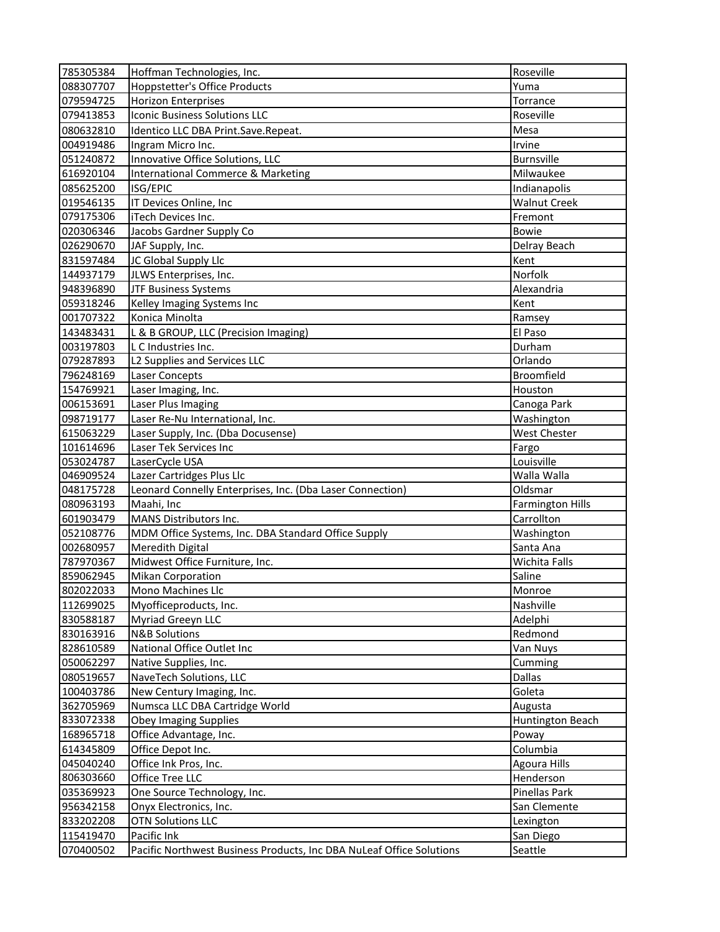| 785305384 | Hoffman Technologies, Inc.                                           | Roseville               |
|-----------|----------------------------------------------------------------------|-------------------------|
| 088307707 | <b>Hoppstetter's Office Products</b>                                 | Yuma                    |
| 079594725 | <b>Horizon Enterprises</b>                                           | Torrance                |
| 079413853 | <b>Iconic Business Solutions LLC</b>                                 | Roseville               |
| 080632810 | Identico LLC DBA Print.Save.Repeat.                                  | Mesa                    |
| 004919486 | Ingram Micro Inc.                                                    | Irvine                  |
| 051240872 | Innovative Office Solutions, LLC                                     | Burnsville              |
| 616920104 | <b>International Commerce &amp; Marketing</b>                        | Milwaukee               |
| 085625200 | ISG/EPIC                                                             | Indianapolis            |
| 019546135 | IT Devices Online, Inc                                               | <b>Walnut Creek</b>     |
| 079175306 | iTech Devices Inc.                                                   | Fremont                 |
| 020306346 | Jacobs Gardner Supply Co                                             | <b>Bowie</b>            |
| 026290670 | JAF Supply, Inc.                                                     | Delray Beach            |
| 831597484 | JC Global Supply Llc                                                 | Kent                    |
| 144937179 | JLWS Enterprises, Inc.                                               | Norfolk                 |
| 948396890 | <b>JTF Business Systems</b>                                          | Alexandria              |
| 059318246 | Kelley Imaging Systems Inc                                           | Kent                    |
| 001707322 | Konica Minolta                                                       | Ramsey                  |
| 143483431 | L & B GROUP, LLC (Precision Imaging)                                 | El Paso                 |
| 003197803 | L C Industries Inc.                                                  | Durham                  |
| 079287893 | L2 Supplies and Services LLC                                         | Orlando                 |
| 796248169 | Laser Concepts                                                       | <b>Broomfield</b>       |
| 154769921 | Laser Imaging, Inc.                                                  | Houston                 |
| 006153691 | Laser Plus Imaging                                                   | Canoga Park             |
| 098719177 | Laser Re-Nu International, Inc.                                      | Washington              |
| 615063229 | Laser Supply, Inc. (Dba Docusense)                                   | West Chester            |
| 101614696 | Laser Tek Services Inc                                               | Fargo                   |
| 053024787 | LaserCycle USA                                                       | Louisville              |
| 046909524 | Lazer Cartridges Plus Llc                                            | Walla Walla             |
| 048175728 | Leonard Connelly Enterprises, Inc. (Dba Laser Connection)            | Oldsmar                 |
| 080963193 | Maahi, Inc                                                           | <b>Farmington Hills</b> |
| 601903479 | MANS Distributors Inc.                                               | Carrollton              |
| 052108776 | MDM Office Systems, Inc. DBA Standard Office Supply                  | Washington              |
| 002680957 | Meredith Digital                                                     | Santa Ana               |
| 787970367 | Midwest Office Furniture, Inc.                                       | Wichita Falls           |
| 859062945 | <b>Mikan Corporation</b>                                             | Saline                  |
| 802022033 | Mono Machines Llc                                                    | Monroe                  |
| 112699025 | Myofficeproducts, Inc.                                               | Nashville               |
| 830588187 | Myriad Greeyn LLC                                                    | Adelphi                 |
| 830163916 | <b>N&amp;B Solutions</b>                                             | Redmond                 |
| 828610589 | National Office Outlet Inc                                           | Van Nuys                |
| 050062297 | Native Supplies, Inc.                                                | Cumming                 |
| 080519657 | NaveTech Solutions, LLC                                              | Dallas                  |
| 100403786 | New Century Imaging, Inc.                                            | Goleta                  |
| 362705969 | Numsca LLC DBA Cartridge World                                       | Augusta                 |
| 833072338 | <b>Obey Imaging Supplies</b>                                         | Huntington Beach        |
| 168965718 | Office Advantage, Inc.                                               | Poway                   |
| 614345809 | Office Depot Inc.                                                    | Columbia                |
| 045040240 | Office Ink Pros, Inc.                                                | <b>Agoura Hills</b>     |
| 806303660 | Office Tree LLC                                                      | Henderson               |
| 035369923 | One Source Technology, Inc.                                          | Pinellas Park           |
| 956342158 | Onyx Electronics, Inc.                                               | San Clemente            |
| 833202208 | <b>OTN Solutions LLC</b>                                             | Lexington               |
| 115419470 | Pacific Ink                                                          | San Diego               |
| 070400502 | Pacific Northwest Business Products, Inc DBA NuLeaf Office Solutions | Seattle                 |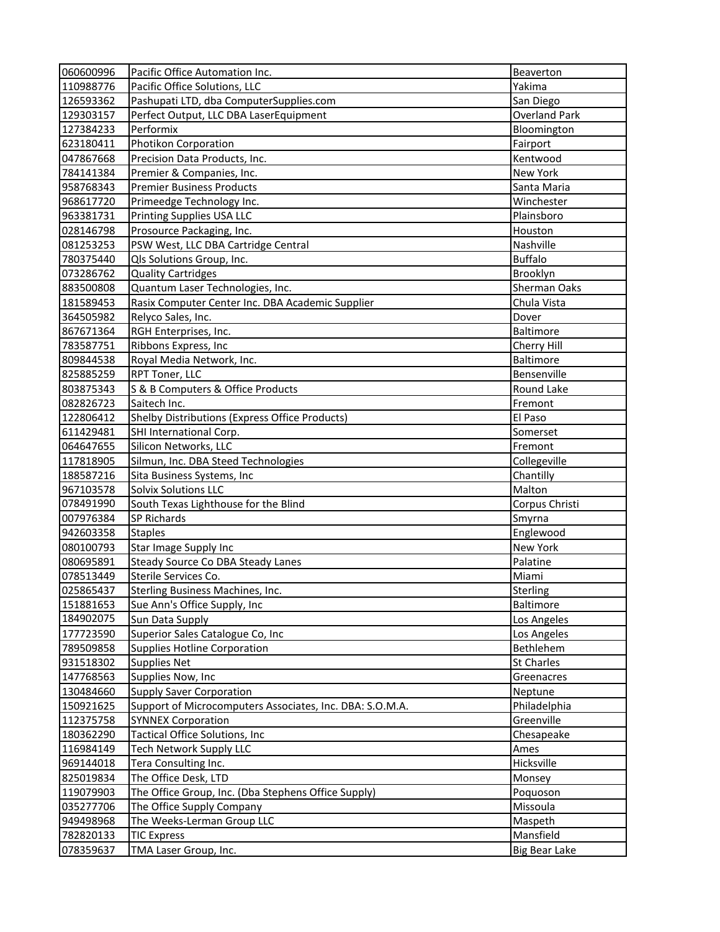| 060600996 | Pacific Office Automation Inc.                           | Beaverton            |
|-----------|----------------------------------------------------------|----------------------|
| 110988776 | Pacific Office Solutions, LLC                            | Yakima               |
| 126593362 | Pashupati LTD, dba ComputerSupplies.com                  | San Diego            |
| 129303157 | Perfect Output, LLC DBA LaserEquipment                   | <b>Overland Park</b> |
| 127384233 | Performix                                                | Bloomington          |
| 623180411 | Photikon Corporation                                     | Fairport             |
| 047867668 | Precision Data Products, Inc.                            | Kentwood             |
| 784141384 | Premier & Companies, Inc.                                | New York             |
| 958768343 | <b>Premier Business Products</b>                         | Santa Maria          |
| 968617720 | Primeedge Technology Inc.                                | Winchester           |
| 963381731 | Printing Supplies USA LLC                                | Plainsboro           |
| 028146798 | Prosource Packaging, Inc.                                | Houston              |
| 081253253 | PSW West, LLC DBA Cartridge Central                      | Nashville            |
| 780375440 | Qls Solutions Group, Inc.                                | <b>Buffalo</b>       |
| 073286762 | <b>Quality Cartridges</b>                                | Brooklyn             |
| 883500808 | Quantum Laser Technologies, Inc.                         | Sherman Oaks         |
| 181589453 | Rasix Computer Center Inc. DBA Academic Supplier         | Chula Vista          |
| 364505982 | Relyco Sales, Inc.                                       | Dover                |
| 867671364 | RGH Enterprises, Inc.                                    | Baltimore            |
| 783587751 | Ribbons Express, Inc                                     | Cherry Hill          |
| 809844538 | Royal Media Network, Inc.                                | Baltimore            |
| 825885259 | RPT Toner, LLC                                           | Bensenville          |
| 803875343 | S & B Computers & Office Products                        | Round Lake           |
| 082826723 | Saitech Inc.                                             | Fremont              |
| 122806412 | Shelby Distributions (Express Office Products)           | El Paso              |
| 611429481 | SHI International Corp.                                  | Somerset             |
| 064647655 | Silicon Networks, LLC                                    | Fremont              |
| 117818905 | Silmun, Inc. DBA Steed Technologies                      | Collegeville         |
| 188587216 | Sita Business Systems, Inc                               | Chantilly            |
| 967103578 | Solvix Solutions LLC                                     | Malton               |
| 078491990 | South Texas Lighthouse for the Blind                     | Corpus Christi       |
| 007976384 | SP Richards                                              | Smyrna               |
| 942603358 | <b>Staples</b>                                           | Englewood            |
| 080100793 | Star Image Supply Inc                                    | New York             |
| 080695891 | Steady Source Co DBA Steady Lanes                        | Palatine             |
| 078513449 | Sterile Services Co.                                     | Miami                |
| 025865437 | <b>Sterling Business Machines, Inc.</b>                  | <b>Sterling</b>      |
| 151881653 | Sue Ann's Office Supply, Inc                             | Baltimore            |
| 184902075 | Sun Data Supply                                          | Los Angeles          |
| 177723590 | Superior Sales Catalogue Co, Inc                         | Los Angeles          |
| 789509858 | <b>Supplies Hotline Corporation</b>                      | <b>Bethlehem</b>     |
| 931518302 | Supplies Net                                             | <b>St Charles</b>    |
| 147768563 | Supplies Now, Inc                                        | Greenacres           |
| 130484660 | <b>Supply Saver Corporation</b>                          | Neptune              |
| 150921625 | Support of Microcomputers Associates, Inc. DBA: S.O.M.A. | Philadelphia         |
| 112375758 | <b>SYNNEX Corporation</b>                                | Greenville           |
| 180362290 | Tactical Office Solutions, Inc                           | Chesapeake           |
| 116984149 | <b>Tech Network Supply LLC</b>                           | Ames                 |
| 969144018 | Tera Consulting Inc.                                     | Hicksville           |
| 825019834 | The Office Desk, LTD                                     | Monsey               |
| 119079903 | The Office Group, Inc. (Dba Stephens Office Supply)      | Poquoson             |
| 035277706 | The Office Supply Company                                | Missoula             |
| 949498968 | The Weeks-Lerman Group LLC                               | Maspeth              |
| 782820133 | <b>TIC Express</b>                                       | Mansfield            |
| 078359637 | TMA Laser Group, Inc.                                    | <b>Big Bear Lake</b> |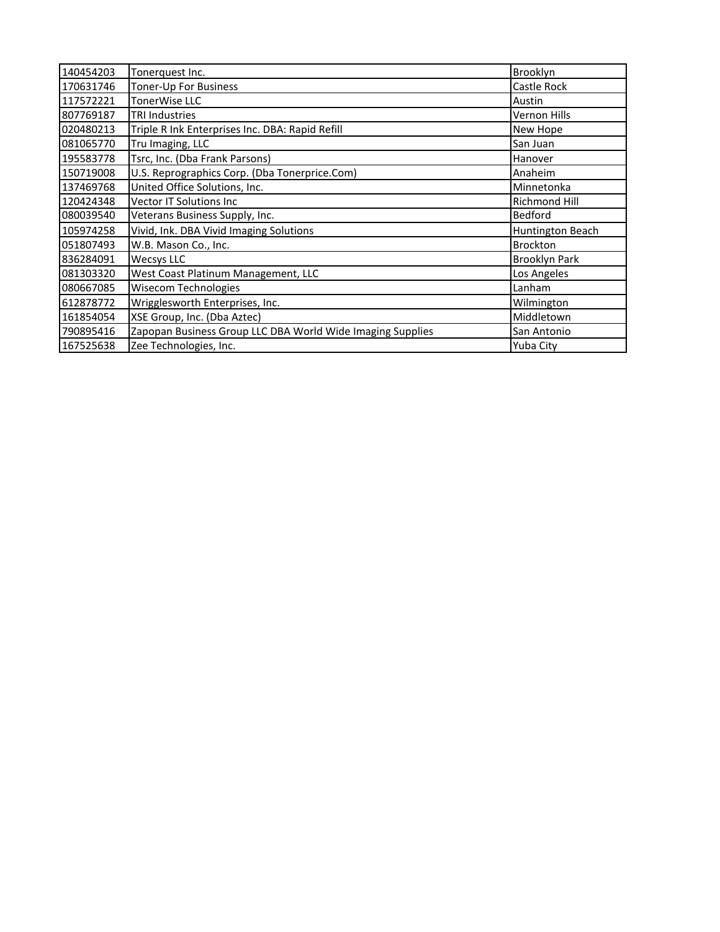| 140454203 | Tonerquest Inc.                                            | Brooklyn             |
|-----------|------------------------------------------------------------|----------------------|
| 170631746 | Toner-Up For Business                                      | Castle Rock          |
| 117572221 | TonerWise LLC                                              | Austin               |
| 807769187 | <b>TRI Industries</b>                                      | Vernon Hills         |
| 020480213 | Triple R Ink Enterprises Inc. DBA: Rapid Refill            | New Hope             |
| 081065770 | Tru Imaging, LLC                                           | San Juan             |
| 195583778 | Tsrc, Inc. (Dba Frank Parsons)                             | Hanover              |
| 150719008 | U.S. Reprographics Corp. (Dba Tonerprice.Com)              | Anaheim              |
| 137469768 | United Office Solutions, Inc.                              | Minnetonka           |
| 120424348 | <b>Vector IT Solutions Inc.</b>                            | Richmond Hill        |
| 080039540 | Veterans Business Supply, Inc.                             | <b>Bedford</b>       |
| 105974258 | Vivid, Ink. DBA Vivid Imaging Solutions                    | Huntington Beach     |
| 051807493 | W.B. Mason Co., Inc.                                       | <b>Brockton</b>      |
| 836284091 | <b>Wecsys LLC</b>                                          | <b>Brooklyn Park</b> |
| 081303320 | West Coast Platinum Management, LLC                        | Los Angeles          |
| 080667085 | <b>Wisecom Technologies</b>                                | Lanham               |
| 612878772 | Wrigglesworth Enterprises, Inc.                            | Wilmington           |
| 161854054 | XSE Group, Inc. (Dba Aztec)                                | Middletown           |
| 790895416 | Zapopan Business Group LLC DBA World Wide Imaging Supplies | San Antonio          |
| 167525638 | Zee Technologies, Inc.                                     | Yuba City            |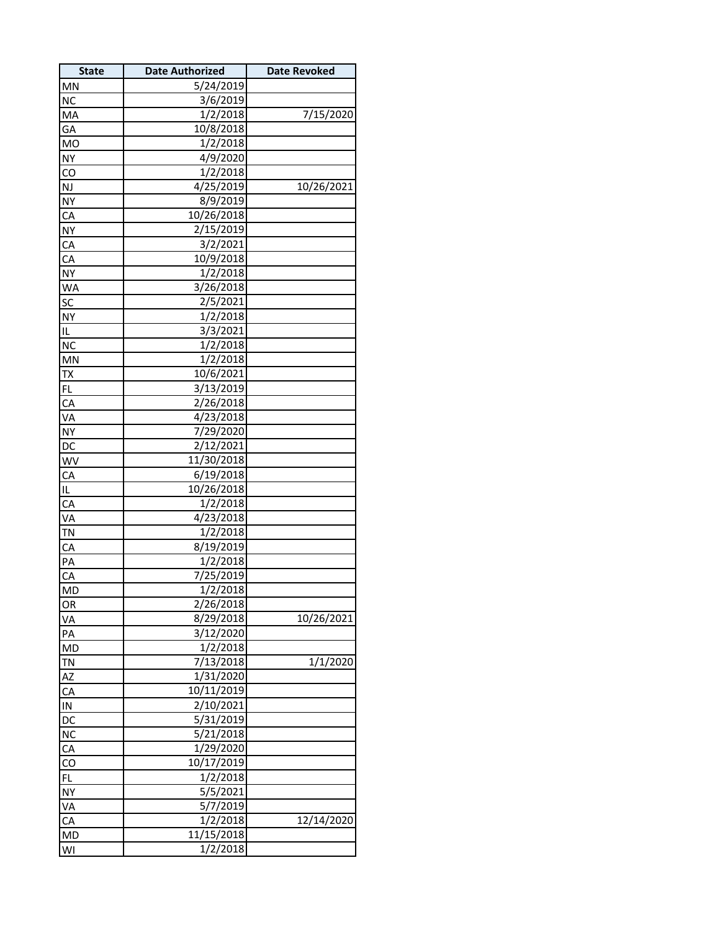| <b>State</b>          | <b>Date Authorized</b> | <b>Date Revoked</b> |
|-----------------------|------------------------|---------------------|
| <b>MN</b>             | 5/24/2019              |                     |
| NC                    | 3/6/2019               |                     |
| MA                    | 1/2/2018               | 7/15/2020           |
| GA                    | 10/8/2018              |                     |
| <b>MO</b>             | 1/2/2018               |                     |
| <b>NY</b>             | 4/9/2020               |                     |
| CO                    | 1/2/2018               |                     |
| $\mathsf{NJ}$         | 4/25/2019              | 10/26/2021          |
| NY                    | 8/9/2019               |                     |
| CA                    | 10/26/2018             |                     |
| <u>NY</u>             | 2/15/2019              |                     |
| CA                    | 3/2/2021               |                     |
| CA                    | 10/9/2018              |                     |
| <b>NY</b>             | 1/2/2018               |                     |
| <b>WA</b>             | 3/26/2018              |                     |
| SC                    | 2/5/2021               |                     |
| NY                    | 1/2/2018               |                     |
| IL                    | 3/3/2021               |                     |
| <b>NC</b>             | 1/2/2018               |                     |
| MN                    | 1/2/2018               |                     |
| TX                    | 10/6/2021              |                     |
| <b>FL</b>             | 3/13/2019              |                     |
| CA                    | 2/26/2018              |                     |
| VA                    | 4/23/2018              |                     |
| <b>NY</b>             | 7/29/2020              |                     |
| DC                    | 2/12/2021              |                     |
| WV                    | 11/30/2018             |                     |
| CA                    | 6/19/2018              |                     |
| L                     | 10/26/2018             |                     |
| CA                    | 1/2/2018               |                     |
| VA                    | 4/23/2018              |                     |
| <b>TN</b>             | 1/2/2018               |                     |
| CA                    | 8/19/2019              |                     |
| PA                    | 1/2/2018               |                     |
| CA                    | 7/25/2019              |                     |
| MD                    | 1/2/2018               |                     |
|                       | 2/26/2018              |                     |
| OR<br>VA              | 8/29/2018              | 10/26/2021          |
| PA                    | 3/12/2020              |                     |
|                       | 1/2/2018               |                     |
| <b>MD</b>             | 7/13/2018              | 1/1/2020            |
| <u>TN</u>             | 1/31/2020              |                     |
| $\overline{AZ}$<br>CA | 10/11/2019             |                     |
|                       |                        |                     |
| IN                    | 2/10/2021<br>5/31/2019 |                     |
| DC                    |                        |                     |
| NC                    | 5/21/2018              |                     |
| CA                    | 1/29/2020              |                     |
| $\overline{c}$        | 10/17/2019             |                     |
| <b>FL</b>             | 1/2/2018               |                     |
| <b>NY</b>             | 5/5/2021               |                     |
| <b>VA</b>             | 5/7/2019               |                     |
| CA                    | 1/2/2018               | 12/14/2020          |
| <b>MD</b>             | 11/15/2018             |                     |
| WI                    | 1/2/2018               |                     |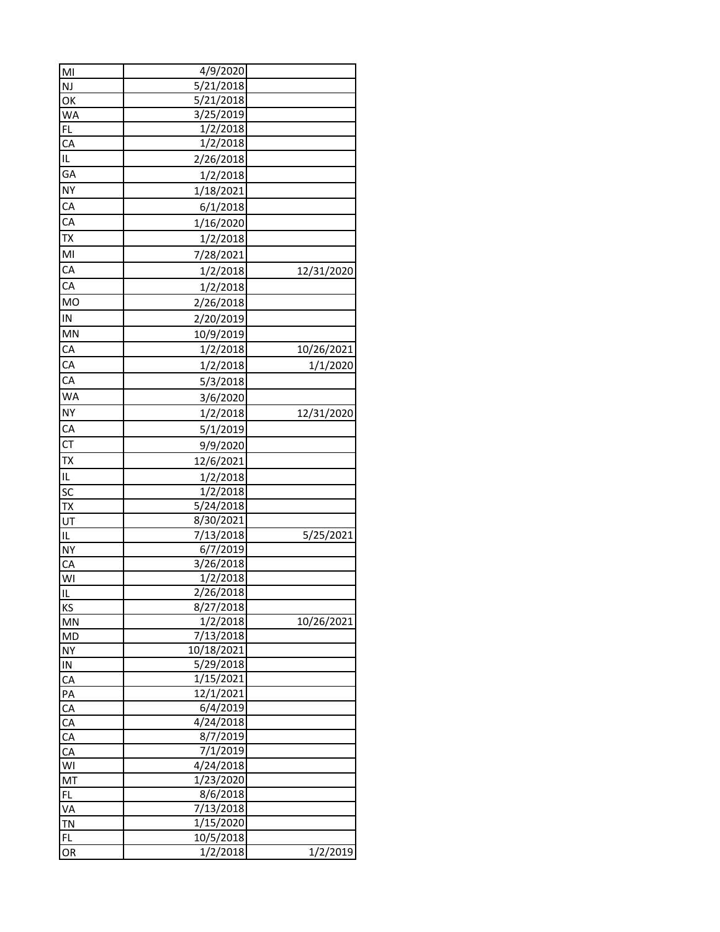| MI              | 4/9/2020   |            |
|-----------------|------------|------------|
| <b>NJ</b>       | 5/21/2018  |            |
| OK              | 5/21/2018  |            |
| <b>WA</b>       | 3/25/2019  |            |
| FL              | 1/2/2018   |            |
| CA              | 1/2/2018   |            |
| IL              | 2/26/2018  |            |
| GA              | 1/2/2018   |            |
| <b>NY</b>       | 1/18/2021  |            |
| CA              | 6/1/2018   |            |
| CA              | 1/16/2020  |            |
| <b>TX</b>       | 1/2/2018   |            |
| MI              | 7/28/2021  |            |
| CA              | 1/2/2018   | 12/31/2020 |
| CA              |            |            |
| <b>MO</b>       | 1/2/2018   |            |
|                 | 2/26/2018  |            |
| IN              | 2/20/2019  |            |
| <b>MN</b>       | 10/9/2019  |            |
| CA              | 1/2/2018   | 10/26/2021 |
| CA              | 1/2/2018   | 1/1/2020   |
| CA              | 5/3/2018   |            |
| <b>WA</b>       | 3/6/2020   |            |
| <b>NY</b>       | 1/2/2018   | 12/31/2020 |
| CA              | 5/1/2019   |            |
| CT              | 9/9/2020   |            |
| <b>TX</b>       | 12/6/2021  |            |
| IL              | 1/2/2018   |            |
| <b>SC</b>       | 1/2/2018   |            |
| TX              | 5/24/2018  |            |
| UT              | 8/30/2021  |            |
| زارا            | 7/13/2018  | 5/25/2021  |
| NY              | 6/7/2019   |            |
| CA              | 3/26/2018  |            |
| $\frac{1}{2}$   | 1/2/2018   |            |
| IL              | 2/26/2018  |            |
| <b>KS</b>       | 8/27/2018  |            |
| <b>MN</b>       | 1/2/2018   | 10/26/2021 |
| <b>MD</b>       | 7/13/2018  |            |
| <b>NY</b>       | 10/18/2021 |            |
| $\overline{1}N$ | 5/29/2018  |            |
| CA              | 1/15/2021  |            |
| PA              | 12/1/2021  |            |
| CA              | 6/4/2019   |            |
| CA              | 4/24/2018  |            |
| CA              | 8/7/2019   |            |
| CA              | 7/1/2019   |            |
| WI              | 4/24/2018  |            |
| MT              | 1/23/2020  |            |
| FL              | 8/6/2018   |            |
| <u>VA</u>       | 7/13/2018  |            |
| <b>TN</b>       | 1/15/2020  |            |
| FL              | 10/5/2018  |            |
| OR              | 1/2/2018   | 1/2/2019   |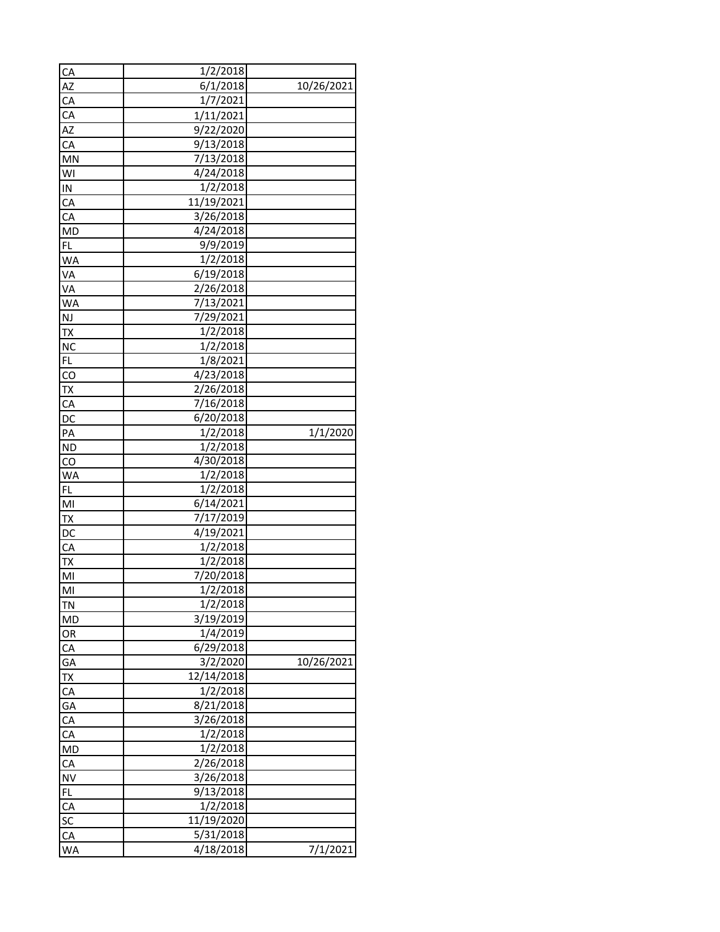| CA                         | 1/2/2018   |            |
|----------------------------|------------|------------|
| AZ                         | 6/1/2018   | 10/26/2021 |
| CA                         | 1/7/2021   |            |
| CA                         | 1/11/2021  |            |
| AZ                         | 9/22/2020  |            |
| CA                         | 9/13/2018  |            |
| <b>MN</b>                  | 7/13/2018  |            |
| WI                         | 4/24/2018  |            |
| IN.                        | 1/2/2018   |            |
| CA                         | 11/19/2021 |            |
| CA                         | 3/26/2018  |            |
| MD                         | 4/24/2018  |            |
| FL                         | 9/9/2019   |            |
| <b>WA</b>                  | 1/2/2018   |            |
| VA                         | 6/19/2018  |            |
| VA                         | 2/26/2018  |            |
| <b>WA</b>                  | 7/13/2021  |            |
| $N_{\rm J}$                | 7/29/2021  |            |
|                            | 1/2/2018   |            |
| <b>TX</b><br>NC            | 1/2/2018   |            |
| <b>FL</b>                  | 1/8/2021   |            |
|                            |            |            |
| $\overline{c}$             | 4/23/2018  |            |
| <b>TX</b>                  | 2/26/2018  |            |
| CA                         | 7/16/2018  |            |
| DC                         | 6/20/2018  |            |
| PA                         | 1/2/2018   | 1/1/2020   |
| <b>ND</b>                  | 1/2/2018   |            |
| $\overline{CQ}$            | 4/30/2018  |            |
| <b>WA</b>                  | 1/2/2018   |            |
| <b>FL</b>                  | 1/2/2018   |            |
| M <sub>l</sub>             | 6/14/2021  |            |
| <b>TX</b>                  | 7/17/2019  |            |
| <b>DC</b>                  | 4/19/2021  |            |
| CA                         | 1/2/2018   |            |
| <b>TX</b>                  | 1/2/2018   |            |
| M <sub>1</sub>             | 7/20/2018  |            |
| M <sub>1</sub>             | 1/2/2018   |            |
| TN <sub>.</sub>            | 1/2/2018   |            |
| <b>MD</b>                  | 3/19/2019  |            |
| OR                         | 1/4/2019   |            |
| CA                         | 6/29/2018  |            |
| GA                         | 3/2/2020   | 10/26/2021 |
|                            | 12/14/2018 |            |
| TX<br>CA<br>GA<br>CA<br>CA | 1/2/2018   |            |
|                            | 8/21/2018  |            |
|                            | 3/26/2018  |            |
|                            | 1/2/2018   |            |
| MD                         | 1/2/2018   |            |
| CA                         | 2/26/2018  |            |
| <b>NV</b>                  | 3/26/2018  |            |
| FL                         | 9/13/2018  |            |
|                            | 1/2/2018   |            |
|                            | 11/19/2020 |            |
| $\frac{2}{5}$              | 5/31/2018  |            |
| <b>WA</b>                  | 4/18/2018  | 7/1/2021   |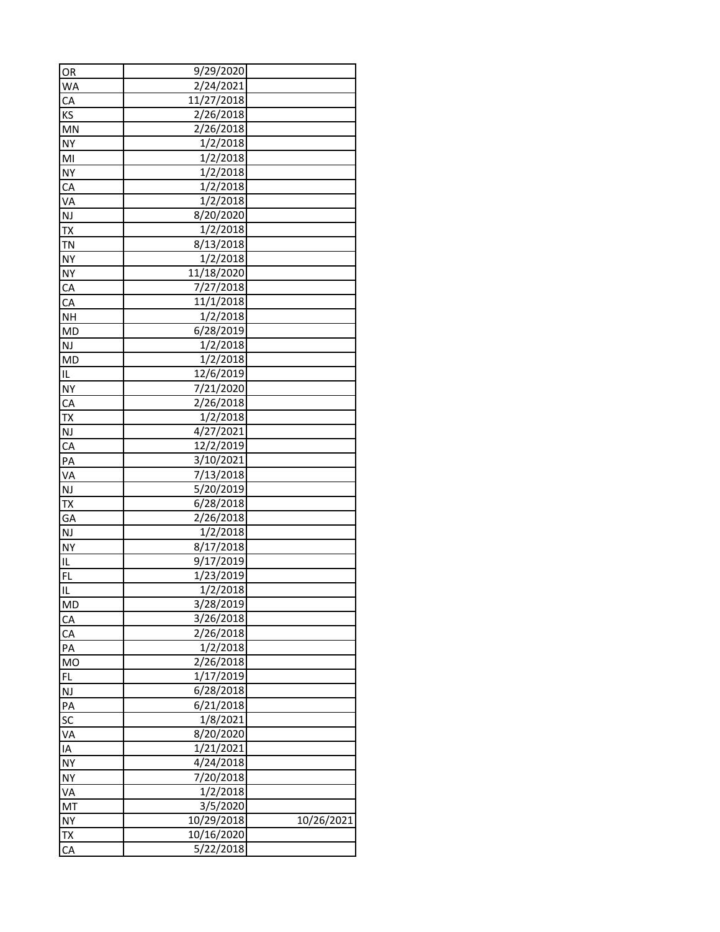| OR                        | 9/29/2020  |            |
|---------------------------|------------|------------|
| <b>WA</b>                 | 2/24/2021  |            |
| CA                        | 11/27/2018 |            |
| <b>KS</b>                 | 2/26/2018  |            |
| <b>MN</b>                 | 2/26/2018  |            |
| <b>NY</b>                 | 1/2/2018   |            |
| MI                        | 1/2/2018   |            |
| <b>NY</b>                 | 1/2/2018   |            |
| CA                        | 1/2/2018   |            |
| VA                        | 1/2/2018   |            |
| <b>NJ</b>                 | 8/20/2020  |            |
| <b>TX</b>                 | 1/2/2018   |            |
| <b>TN</b>                 | 8/13/2018  |            |
| <b>NY</b>                 | 1/2/2018   |            |
| <b>NY</b>                 | 11/18/2020 |            |
| CA                        | 7/27/2018  |            |
| CA                        | 11/1/2018  |            |
| <b>NH</b>                 | 1/2/2018   |            |
| <b>MD</b>                 | 6/28/2019  |            |
| <b>NJ</b>                 | 1/2/2018   |            |
| <b>MD</b>                 | 1/2/2018   |            |
| IL                        | 12/6/2019  |            |
| <b>NY</b>                 | 7/21/2020  |            |
| CA                        | 2/26/2018  |            |
| <b>TX</b>                 | 1/2/2018   |            |
| NJ                        | 4/27/2021  |            |
| CA                        | 12/2/2019  |            |
| PA                        | 3/10/2021  |            |
| <b>VA</b>                 | 7/13/2018  |            |
| NJ                        | 5/20/2019  |            |
| <b>TX</b>                 | 6/28/2018  |            |
| <b>GA</b>                 | 2/26/2018  |            |
| NJ                        | 1/2/2018   |            |
| NY                        | 8/17/2018  |            |
| IL                        | 9/17/2019  |            |
| FL                        | 1/23/2019  |            |
| <u>լր</u>                 | 1/2/2018   |            |
| $\overline{\mathsf{M}}$ D | 3/28/2019  |            |
| CA                        | 3/26/2018  |            |
| CA                        | 2/26/2018  |            |
| PA                        | 1/2/2018   |            |
| $\underline{\mathsf{MO}}$ | 2/26/2018  |            |
| <b>FL</b>                 | 1/17/2019  |            |
| <b>NJ</b>                 | 6/28/2018  |            |
| PA                        | 6/21/2018  |            |
| SC                        | 1/8/2021   |            |
| <b>VA</b>                 | 8/20/2020  |            |
| $\overline{A}$            | 1/21/2021  |            |
|                           | 4/24/2018  |            |
| <b>NY</b><br><b>NY</b>    | 7/20/2018  |            |
|                           | 1/2/2018   |            |
| <b>VA</b>                 |            |            |
| <b>MT</b>                 | 3/5/2020   |            |
| <b>NY</b>                 | 10/29/2018 | 10/26/2021 |
| <u>TΧ</u>                 | 10/16/2020 |            |
| CA                        | 5/22/2018  |            |